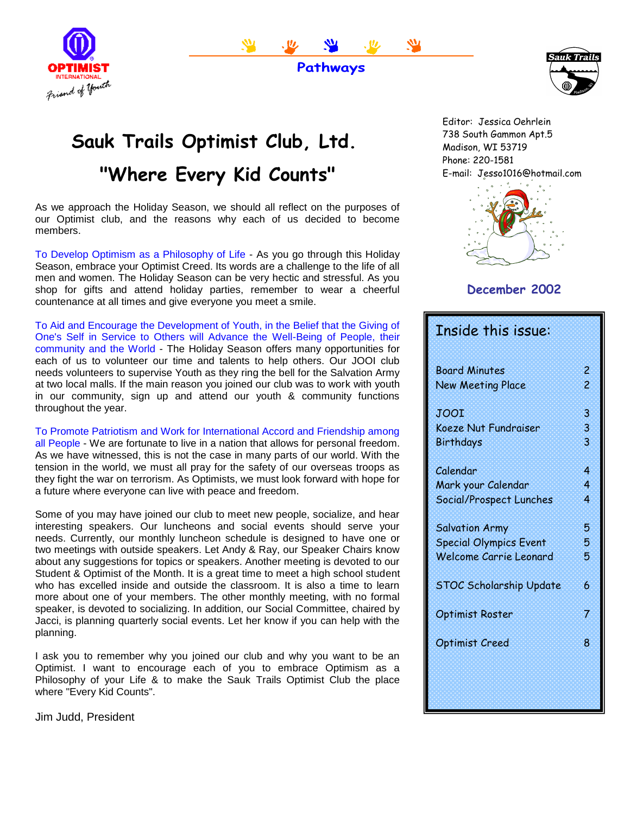



**Pathways**



# E-mail: Jesso1016@hotmail.com **"Where Every Kid Counts" Sauk Trails Optimist Club, Ltd.**

As we approach the Holiday Season, we should all reflect on the purposes of our Optimist club, and the reasons why each of us decided to become members.

To Develop Optimism as a Philosophy of Life - As you go through this Holiday Season, embrace your Optimist Creed. Its words are a challenge to the life of all men and women. The Holiday Season can be very hectic and stressful. As you shop for gifts and attend holiday parties, remember to wear a cheerful countenance at all times and give everyone you meet a smile.

To Aid and Encourage the Development of Youth, in the Belief that the Giving of One's Self in Service to Others will Advance the Well-Being of People, their community and the World - The Holiday Season offers many opportunities for each of us to volunteer our time and talents to help others. Our JOOI club needs volunteers to supervise Youth as they ring the bell for the Salvation Army at two local malls. If the main reason you joined our club was to work with youth in our community, sign up and attend our youth & community functions throughout the year.

To Promote Patriotism and Work for International Accord and Friendship among all People - We are fortunate to live in a nation that allows for personal freedom. As we have witnessed, this is not the case in many parts of our world. With the tension in the world, we must all pray for the safety of our overseas troops as they fight the war on terrorism. As Optimists, we must look forward with hope for a future where everyone can live with peace and freedom.

Some of you may have joined our club to meet new people, socialize, and hear interesting speakers. Our luncheons and social events should serve your needs. Currently, our monthly luncheon schedule is designed to have one or two meetings with outside speakers. Let Andy & Ray, our Speaker Chairs know about any suggestions for topics or speakers. Another meeting is devoted to our Student & Optimist of the Month. It is a great time to meet a high school student who has excelled inside and outside the classroom. It is also a time to learn more about one of your members. The other monthly meeting, with no formal speaker, is devoted to socializing. In addition, our Social Committee, chaired by Jacci, is planning quarterly social events. Let her know if you can help with the planning.

I ask you to remember why you joined our club and why you want to be an Optimist. I want to encourage each of you to embrace Optimism as a Philosophy of your Life & to make the Sauk Trails Optimist Club the place where "Every Kid Counts".

Jim Judd, President

Editor: Jessica Oehrlein 738 South Gammon Apt.5 Madison, WI 53719 Phone: 220-1581



### **December 2002**

| Inside this issue:            |                         |
|-------------------------------|-------------------------|
| <b>Board Minutes</b>          | $\overline{\mathbf{c}}$ |
| <b>New Meeting Place</b>      | 2                       |
| JOOI                          | 3                       |
| <b>Koeze Nut Fundraiser</b>   | 3                       |
| Birthdays                     | 3                       |
| Calendar                      | 4                       |
| Mark your Calendar            | 4                       |
| Social/Prospect Lunches       | 4                       |
| <b>Salvation Army</b>         | 5                       |
| <b>Special Olympics Event</b> | 5                       |
| <b>Welcome Carrie Leonard</b> | 5                       |
| STOC Scholarship Update       | 6                       |
| <b>Optimist Roster</b>        | 7                       |
| Optimist Creed                | 8                       |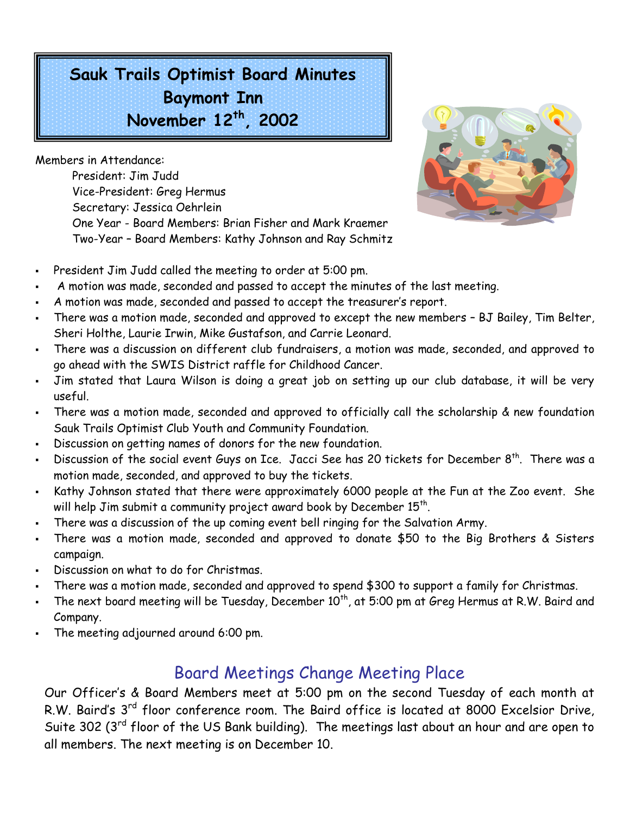**Sauk Trails Optimist Board Minutes Baymont Inn November 12th, 2002**

Members in Attendance:

President: Jim Judd Vice-President: Greg Hermus Secretary: Jessica Oehrlein One Year - Board Members: Brian Fisher and Mark Kraemer Two-Year – Board Members: Kathy Johnson and Ray Schmitz



- President Jim Judd called the meeting to order at 5:00 pm.
- A motion was made, seconded and passed to accept the minutes of the last meeting.
- A motion was made, seconded and passed to accept the treasurer's report.
- There was a motion made, seconded and approved to except the new members BJ Bailey, Tim Belter, Sheri Holthe, Laurie Irwin, Mike Gustafson, and Carrie Leonard.
- There was a discussion on different club fundraisers, a motion was made, seconded, and approved to go ahead with the SWIS District raffle for Childhood Cancer.
- Jim stated that Laura Wilson is doing a great job on setting up our club database, it will be very useful.
- There was a motion made, seconded and approved to officially call the scholarship & new foundation Sauk Trails Optimist Club Youth and Community Foundation.
- Discussion on getting names of donors for the new foundation.
- Discussion of the social event Guys on Ice. Jacci See has 20 tickets for December  $8^{\text{th}}$ . There was a motion made, seconded, and approved to buy the tickets.
- Kathy Johnson stated that there were approximately 6000 people at the Fun at the Zoo event. She will help Jim submit a community project award book by December  $15^{\text{th}}$ .
- There was a discussion of the up coming event bell ringing for the Salvation Army.
- There was a motion made, seconded and approved to donate \$50 to the Big Brothers & Sisters campaign.
- Discussion on what to do for Christmas.
- There was a motion made, seconded and approved to spend \$300 to support a family for Christmas.
- The next board meeting will be Tuesday, December  $10^{th}$ , at 5:00 pm at Greg Hermus at R.W. Baird and Company.
- The meeting adjourned around 6:00 pm.

# Board Meetings Change Meeting Place

Our Officer's & Board Members meet at 5:00 pm on the second Tuesday of each month at R.W. Baird's 3<sup>rd</sup> floor conference room. The Baird office is located at 8000 Excelsior Drive, Suite 302 (3<sup>rd</sup> floor of the US Bank building). The meetings last about an hour and are open to all members. The next meeting is on December 10.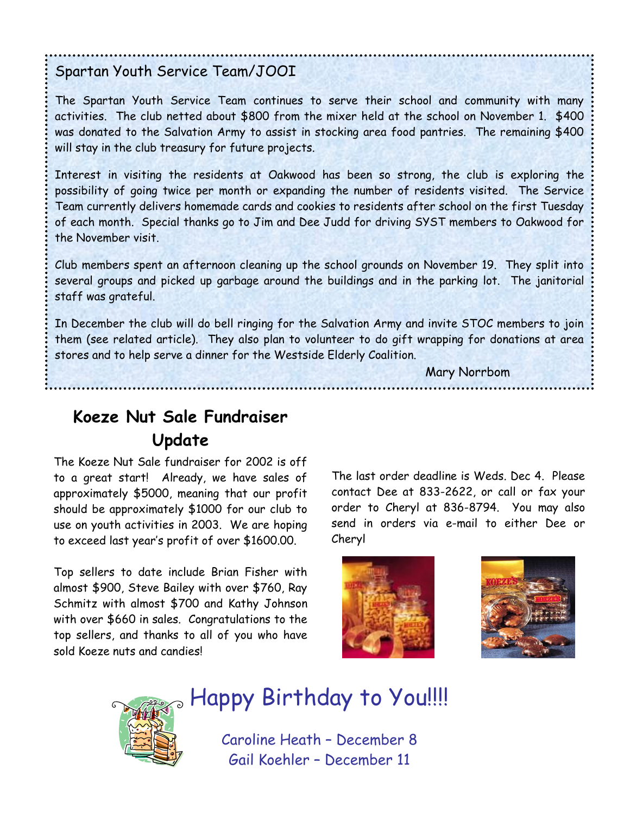### Spartan Youth Service Team/JOOI

The Spartan Youth Service Team continues to serve their school and community with many activities. The club netted about \$800 from the mixer held at the school on November 1. \$400 was donated to the Salvation Army to assist in stocking area food pantries. The remaining \$400 will stay in the club treasury for future projects.

Interest in visiting the residents at Oakwood has been so strong, the club is exploring the possibility of going twice per month or expanding the number of residents visited. The Service Team currently delivers homemade cards and cookies to residents after school on the first Tuesday of each month. Special thanks go to Jim and Dee Judd for driving SYST members to Oakwood for the November visit.

Club members spent an afternoon cleaning up the school grounds on November 19. They split into several groups and picked up garbage around the buildings and in the parking lot. The janitorial staff was grateful.

In December the club will do bell ringing for the Salvation Army and invite STOC members to join them (see related article). They also plan to volunteer to do gift wrapping for donations at area stores and to help serve a dinner for the Westside Elderly Coalition.

Mary Norrbom

# **Koeze Nut Sale Fundraiser Update**

The Koeze Nut Sale fundraiser for 2002 is off to a great start! Already, we have sales of approximately \$5000, meaning that our profit should be approximately \$1000 for our club to use on youth activities in 2003. We are hoping to exceed last year's profit of over \$1600.00.

Top sellers to date include Brian Fisher with almost \$900, Steve Bailey with over \$760, Ray Schmitz with almost \$700 and Kathy Johnson with over \$660 in sales. Congratulations to the top sellers, and thanks to all of you who have sold Koeze nuts and candies!

The last order deadline is Weds. Dec 4. Please contact Dee at 833-2622, or call or fax your order to Cheryl at 836-8794. You may also send in orders via e-mail to either Dee or Cheryl





# $_{\circ}$  Happy Birthday to You!!!!

Caroline Heath – December 8 Gail Koehler – December 11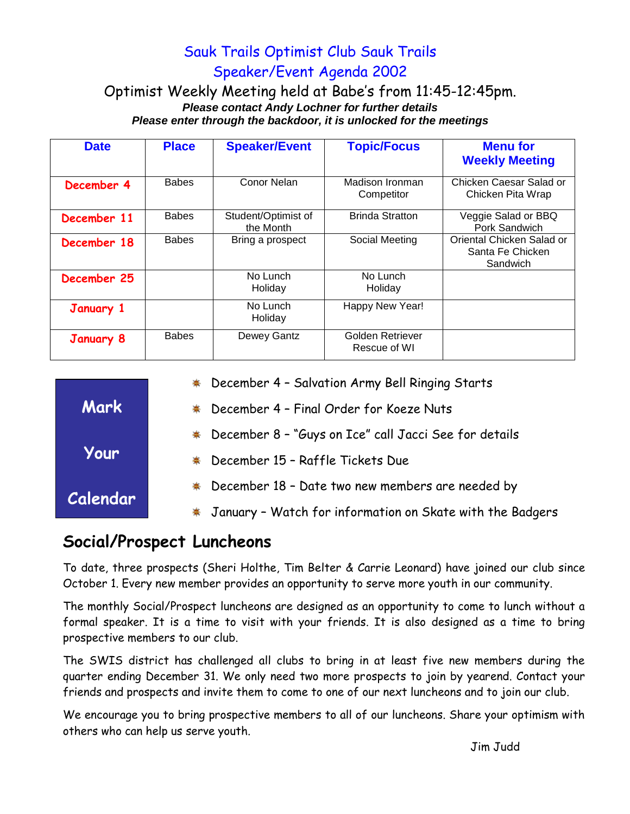## Sauk Trails Optimist Club Sauk Trails Speaker/Event Agenda 2002

#### Optimist Weekly Meeting held at Babe's from 11:45-12:45pm. *Please contact Andy Lochner for further details Please enter through the backdoor, it is unlocked for the meetings*

| <b>Date</b>      | <b>Place</b> | <b>Speaker/Event</b>             | <b>Topic/Focus</b>               | <b>Menu for</b><br><b>Weekly Meeting</b>                  |
|------------------|--------------|----------------------------------|----------------------------------|-----------------------------------------------------------|
| December 4       | <b>Babes</b> | Conor Nelan                      | Madison Ironman<br>Competitor    | Chicken Caesar Salad or<br>Chicken Pita Wrap              |
| December 11      | <b>Babes</b> | Student/Optimist of<br>the Month | <b>Brinda Stratton</b>           | Veggie Salad or BBQ<br>Pork Sandwich                      |
| December 18      | <b>Babes</b> | Bring a prospect                 | Social Meeting                   | Oriental Chicken Salad or<br>Santa Fe Chicken<br>Sandwich |
| December 25      |              | No Lunch<br>Holiday              | No Lunch<br>Holiday              |                                                           |
| January 1        |              | No Lunch<br>Holiday              | Happy New Year!                  |                                                           |
| <b>January 8</b> | <b>Babes</b> | Dewey Gantz                      | Golden Retriever<br>Rescue of WI |                                                           |

|             | * December 4 - Salvation Army Bell Ringing Starts           |
|-------------|-------------------------------------------------------------|
| <b>Mark</b> | December 4 - Final Order for Koeze Nuts<br>♣                |
| Your        | * December 8 - "Guys on Ice" call Jacci See for details     |
|             | December 15 - Raffle Tickets Due<br>♣                       |
| Calendar    | December 18 - Date two new members are needed by<br>♣       |
|             | * January - Watch for information on Skate with the Badgers |

# **Social/Prospect Luncheons**

To date, three prospects (Sheri Holthe, Tim Belter & Carrie Leonard) have joined our club since October 1. Every new member provides an opportunity to serve more youth in our community.

The monthly Social/Prospect luncheons are designed as an opportunity to come to lunch without a formal speaker. It is a time to visit with your friends. It is also designed as a time to bring prospective members to our club.

The SWIS district has challenged all clubs to bring in at least five new members during the quarter ending December 31. We only need two more prospects to join by yearend. Contact your friends and prospects and invite them to come to one of our next luncheons and to join our club.

We encourage you to bring prospective members to all of our luncheons. Share your optimism with others who can help us serve youth.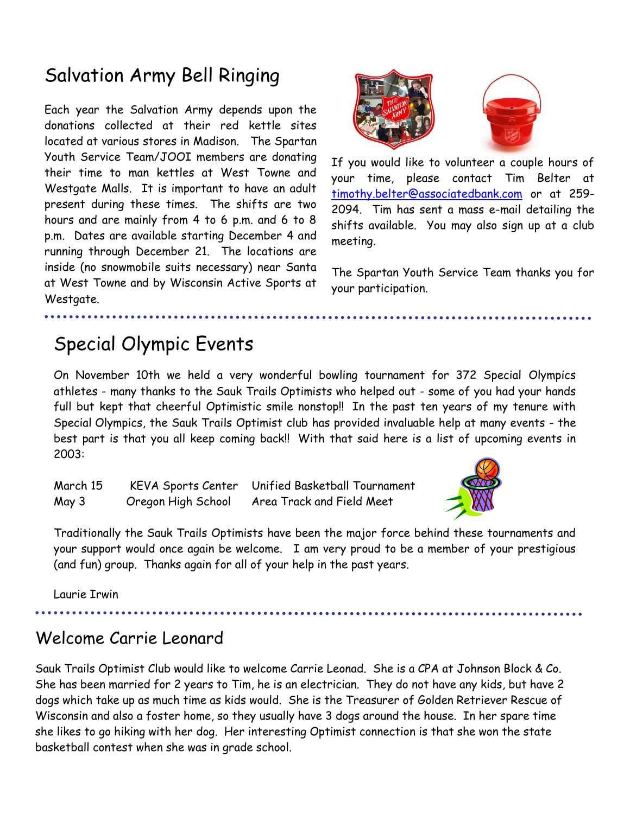# Salvation Army Bell Ringing

Each year the Salvation Army depends upon the donations collected at their red kettle sites located at various stores in Madison. The Spartan Youth Service Team/JOOI members are donating their time to man kettles at West Towne and Westgate Malls. It is important to have an adult present during these times. The shifts are two hours and are mainly from 4 to 6 p.m. and 6 to 8 p.m. Dates are available starting December 4 and running through December 21. The locations are inside (no snowmobile suits necessary) near Santa at West Towne and by Wisconsin Active Sports at Westgate.



If you would like to volunteer a couple hours of your time, please contact Tim Belter at [timothy.belter@associatedbank.com](mailto:timothy.belter@associatedbank.com) or at 259- 2094. Tim has sent a mass e-mail detailing the shifts available. You may also sign up at a club meeting.

The Spartan Youth Service Team thanks you for your participation.

# Special Olympic Events

On November 10th we held a very wonderful bowling tournament for 372 Special Olympics athletes - many thanks to the Sauk Trails Optimists who helped out - some of you had your hands full but kept that cheerful Optimistic smile nonstop!! In the past ten years of my tenure with Special Olympics, the Sauk Trails Optimist club has provided invaluable help at many events - the best part is that you all keep coming back!! With that said here is a list of upcoming events in 2003:

March 15 KEVA Sports Center Unified Basketball Tournament May 3 Oregon High School Area Track and Field Meet



Traditionally the Sauk Trails Optimists have been the major force behind these tournaments and your support would once again be welcome. I am very proud to be a member of your prestigious (and fun) group. Thanks again for all of your help in the past years.

Laurie Irwin

### Welcome Carrie Leonard

Sauk Trails Optimist Club would like to welcome Carrie Leonad. She is a CPA at Johnson Block & Co. She has been married for 2 years to Tim, he is an electrician. They do not have any kids, but have 2 dogs which take up as much time as kids would. She is the Treasurer of Golden Retriever Rescue of Wisconsin and also a foster home, so they usually have 3 dogs around the house. In her spare time she likes to go hiking with her dog. Her interesting Optimist connection is that she won the state basketball contest when she was in grade school.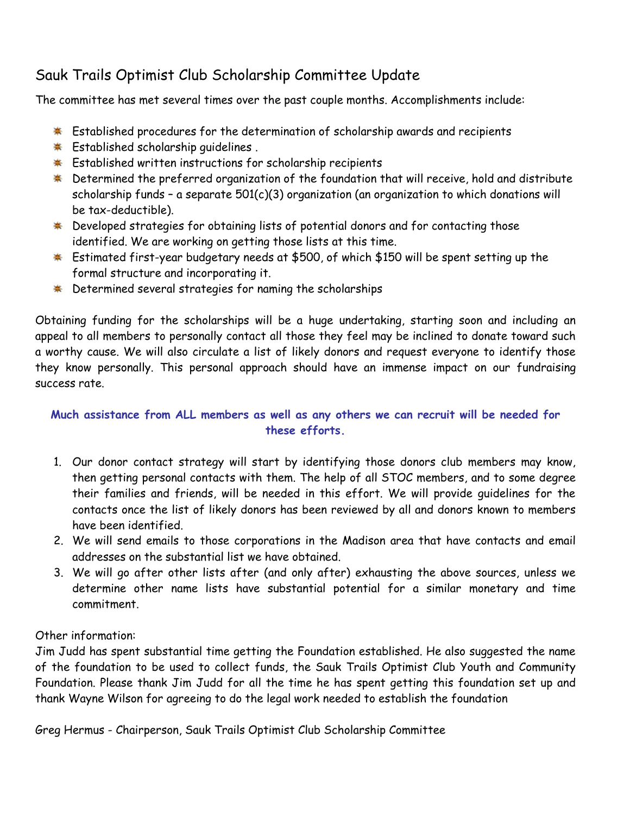### Sauk Trails Optimist Club Scholarship Committee Update

The committee has met several times over the past couple months. Accomplishments include:

- \* Established procedures for the determination of scholarship awards and recipients
- \* Established scholarship guidelines.
- **Established written instructions for scholarship recipients**
- $*$  Determined the preferred organization of the foundation that will receive, hold and distribute scholarship funds - a separate  $501(c)(3)$  organization (an organization to which donations will be tax-deductible).
- \* Developed strategies for obtaining lists of potential donors and for contacting those identified. We are working on getting those lists at this time.
- \* Estimated first-year budgetary needs at \$500, of which \$150 will be spent setting up the formal structure and incorporating it.
- \* Determined several strategies for naming the scholarships

Obtaining funding for the scholarships will be a huge undertaking, starting soon and including an appeal to all members to personally contact all those they feel may be inclined to donate toward such a worthy cause. We will also circulate a list of likely donors and request everyone to identify those they know personally. This personal approach should have an immense impact on our fundraising success rate.

### **Much assistance from ALL members as well as any others we can recruit will be needed for these efforts.**

- 1. Our donor contact strategy will start by identifying those donors club members may know, then getting personal contacts with them. The help of all STOC members, and to some degree their families and friends, will be needed in this effort. We will provide guidelines for the contacts once the list of likely donors has been reviewed by all and donors known to members have been identified.
- 2. We will send emails to those corporations in the Madison area that have contacts and email addresses on the substantial list we have obtained.
- 3. We will go after other lists after (and only after) exhausting the above sources, unless we determine other name lists have substantial potential for a similar monetary and time commitment.

Other information:

Jim Judd has spent substantial time getting the Foundation established. He also suggested the name of the foundation to be used to collect funds, the Sauk Trails Optimist Club Youth and Community Foundation. Please thank Jim Judd for all the time he has spent getting this foundation set up and thank Wayne Wilson for agreeing to do the legal work needed to establish the foundation

Greg Hermus - Chairperson, Sauk Trails Optimist Club Scholarship Committee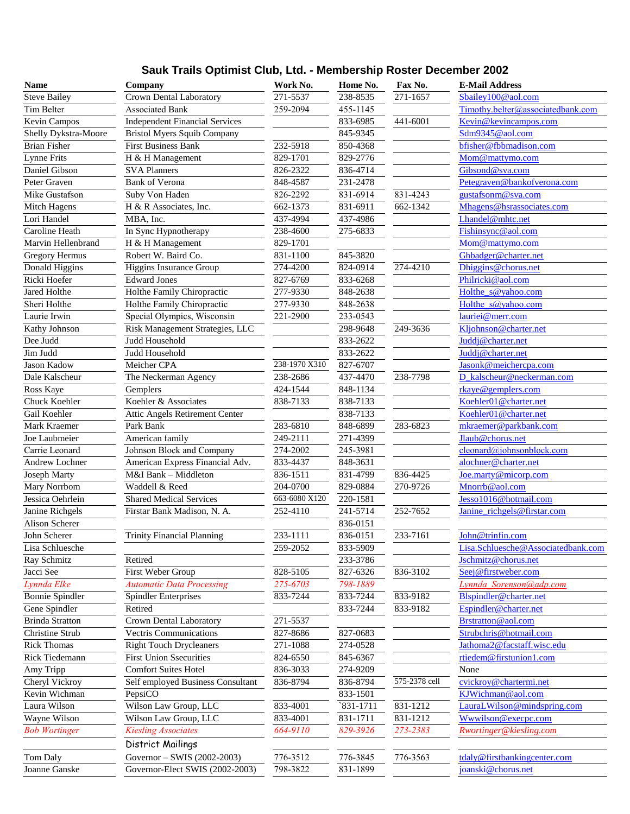### **Sauk Trails Optimist Club, Ltd. - Membership Roster December 2002**

| Name                   | Company                               | Work No.      | Home No. | Fax No.       | <b>E-Mail Address</b>              |
|------------------------|---------------------------------------|---------------|----------|---------------|------------------------------------|
| <b>Steve Bailey</b>    | Crown Dental Laboratory               | 271-5537      | 238-8535 | 271-1657      | Sbailey100@aol.com                 |
| Tim Belter             | <b>Associated Bank</b>                | 259-2094      | 455-1145 |               | Timothy.belter@associatedbank.com  |
| Kevin Campos           | <b>Independent Financial Services</b> |               | 833-6985 | 441-6001      | Kevin@kevincampos.com              |
| Shelly Dykstra-Moore   | <b>Bristol Myers Squib Company</b>    |               | 845-9345 |               | Sdm9345@aol.com                    |
| <b>Brian Fisher</b>    | <b>First Business Bank</b>            | 232-5918      | 850-4368 |               | bfisher@fbbmadison.com             |
| Lynne Frits            | H & H Management                      | 829-1701      | 829-2776 |               | Mom@mattymo.com                    |
| Daniel Gibson          | <b>SVA Planners</b>                   | 826-2322      | 836-4714 |               | Gibsond@sva.com                    |
| Peter Graven           | Bank of Verona                        | 848-4587      | 231-2478 |               | Petegraven@bankofverona.com        |
| Mike Gustafson         | Suby Von Haden                        | 826-2292      | 831-6914 | 831-4243      | gustafsonm@sva.com                 |
| Mitch Hagens           | H & R Associates, Inc.                | 662-1373      | 831-6911 | 662-1342      | Mhagens@hsrassociates.com          |
| Lori Handel            | MBA, Inc.                             | 437-4994      | 437-4986 |               | Lhandel@mhtc.net                   |
| Caroline Heath         | In Sync Hypnotherapy                  | 238-4600      | 275-6833 |               | Fishinsync@aol.com                 |
| Marvin Hellenbrand     | H & H Management                      | 829-1701      |          |               | Mom@mattymo.com                    |
| <b>Gregory Hermus</b>  | Robert W. Baird Co.                   | 831-1100      | 845-3820 |               | Ghbadger@charter.net               |
| Donald Higgins         | Higgins Insurance Group               | 274-4200      | 824-0914 | 274-4210      | Dhiggins@chorus.net                |
| Ricki Hoefer           | <b>Edward Jones</b>                   | 827-6769      | 833-6268 |               | Philricki@aol.com                  |
| Jared Holthe           | Holthe Family Chiropractic            | 277-9330      | 848-2638 |               | Holthe s@yahoo.com                 |
| Sheri Holthe           | Holthe Family Chiropractic            | 277-9330      | 848-2638 |               | Holthe s@yahoo.com                 |
| Laurie Irwin           | Special Olympics, Wisconsin           | 221-2900      | 233-0543 |               | lauriei@merr.com                   |
| Kathy Johnson          | Risk Management Strategies, LLC       |               | 298-9648 | 249-3636      | Kljohnson@charter.net              |
| Dee Judd               | Judd Household                        |               | 833-2622 |               | Juddj@charter.net                  |
| Jim Judd               | Judd Household                        |               | 833-2622 |               | Juddj@charter.net                  |
| Jason Kadow            | Meicher CPA                           | 238-1970 X310 | 827-6707 |               | Jasonk@meichercpa.com              |
| Dale Kalscheur         | The Neckerman Agency                  | 238-2686      | 437-4470 | 238-7798      | D kalscheur@neckerman.com          |
| Ross Kaye              | Gemplers                              | 424-1544      | 848-1134 |               | rkaye@gemplers.com                 |
| Chuck Koehler          | Koehler & Associates                  | 838-7133      | 838-7133 |               | Koehler01@charter.net              |
| Gail Koehler           | Attic Angels Retirement Center        |               | 838-7133 |               | Koehler01@charter.net              |
| Mark Kraemer           | Park Bank                             | 283-6810      | 848-6899 | 283-6823      | mkraemer@parkbank.com              |
| Joe Laubmeier          | American family                       | 249-2111      | 271-4399 |               | Jlaub@chorus.net                   |
| Carrie Leonard         | Johnson Block and Company             | 274-2002      | 245-3981 |               | cleonard@johnsonblock.com          |
| Andrew Lochner         | American Express Financial Adv.       | 833-4437      | 848-3631 |               | alochner@charter.net               |
| <b>Joseph Marty</b>    | M&I Bank - Middleton                  | 836-1511      | 831-4799 | 836-4425      | Joe.marty@micorp.com               |
| Mary Norrbom           | Waddell & Reed                        | 204-0700      | 829-0884 | 270-9726      | Mnorrb@aol.com                     |
| Jessica Oehrlein       | <b>Shared Medical Services</b>        | 663-6080 X120 | 220-1581 |               | Jesso1016@hotmail.com              |
| Janine Richgels        | Firstar Bank Madison, N. A.           | 252-4110      | 241-5714 | 252-7652      | Janine richgels@firstar.com        |
| Alison Scherer         |                                       |               | 836-0151 |               |                                    |
| John Scherer           | <b>Trinity Financial Planning</b>     | 233-1111      | 836-0151 | 233-7161      | John@trinfin.com                   |
| Lisa Schluesche        |                                       | 259-2052      | 833-5909 |               | Lisa.Schluesche@Associatedbank.com |
| Ray Schmitz            | Retired                               |               | 233-3786 |               | Jschmitz@chorus.net                |
| Jacci See              | First Weber Group                     | 828-5105      | 827-6326 | 836-3102      | Seej@firstweber.com                |
| Lynnda Elke            | <b>Automatic Data Processing</b>      | 275-6703      | 798-1889 |               | Lynnda Sorenson@adp.com            |
| <b>Bonnie Spindler</b> | <b>Spindler Enterprises</b>           | 833-7244      | 833-7244 | 833-9182      | Blspindler@charter.net             |
| Gene Spindler          | Retired                               |               | 833-7244 | 833-9182      | Espindler@charter.net              |
| <b>Brinda Stratton</b> | Crown Dental Laboratory               | 271-5537      |          |               | Brstratton@aol.com                 |
| Christine Strub        | <b>Vectris Communications</b>         | 827-8686      | 827-0683 |               | Strubchris@hotmail.com             |
| <b>Rick Thomas</b>     | <b>Right Touch Drycleaners</b>        | 271-1088      | 274-0528 |               | Jathoma2@facstaff.wisc.edu         |
| Rick Tiedemann         | <b>First Union Ssecurities</b>        | 824-6550      | 845-6367 |               | rtiedem@firstunion1.com            |
| Amy Tripp              | <b>Comfort Suites Hotel</b>           | 836-3033      | 274-9209 |               | None                               |
| Cheryl Vickroy         | Self employed Business Consultant     | 836-8794      | 836-8794 | 575-2378 cell | cvickroy@chartermi.net             |
| Kevin Wichman          | PepsiCO                               |               | 833-1501 |               | KJWichman@aol.com                  |
| Laura Wilson           | Wilson Law Group, LLC                 | 833-4001      | 831-1711 | 831-1212      | LauraLWilson@mindspring.com        |
| Wayne Wilson           | Wilson Law Group, LLC                 | 833-4001      | 831-1711 | 831-1212      | Wwwilson@execpc.com                |
| <b>Bob Wortinger</b>   | <b>Kiesling Associates</b>            | 664-9110      | 829-3926 | 273-2383      | Rwortinger@kiesling.com            |
|                        | District Mailings                     |               |          |               |                                    |
| Tom Daly               | Governor - SWIS (2002-2003)           | 776-3512      | 776-3845 | 776-3563      | tdaly@firstbankingcenter.com       |
| Joanne Ganske          | Governor-Elect SWIS (2002-2003)       | 798-3822      | 831-1899 |               | joanski@chorus.net                 |